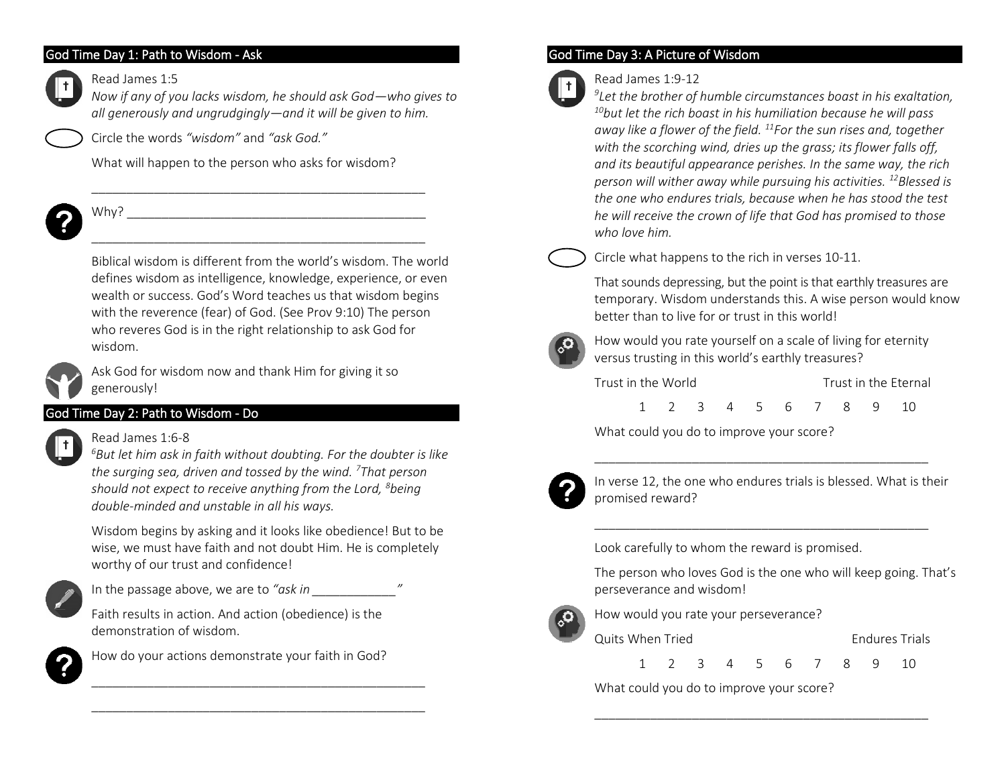### God Time Day 1: Path to Wisdom - Ask

#### Read James 1:5



*Now if any of you lacks wisdom, he should ask God—who gives to all generously and ungrudgingly—and it will be given to him.*

Circle the words *"wisdom"* and *"ask God."*

What will happen to the person who asks for wisdom?

\_\_\_\_\_\_\_\_\_\_\_\_\_\_\_\_\_\_\_\_\_\_\_\_\_\_\_\_\_\_\_\_\_\_\_\_\_\_\_\_\_\_\_\_\_\_\_\_

\_\_\_\_\_\_\_\_\_\_\_\_\_\_\_\_\_\_\_\_\_\_\_\_\_\_\_\_\_\_\_\_\_\_\_\_\_\_\_\_\_\_\_\_\_\_\_\_



# $W$ hy?

Biblical wisdom is different from the world's wisdom. The world defines wisdom as intelligence, knowledge, experience, or even wealth or success. God's Word teaches us that wisdom begins with the reverence (fear) of God. (See Prov 9:10) The person who reveres God is in the right relationship to ask God for wisdom.



Ask God for wisdom now and thank Him for giving it so generously!

# God Time Day 2: Path to Wisdom - Do

### Read James 1:6-8

*<sup>6</sup>But let him ask in faith without doubting. For the doubter is like the surging sea, driven and tossed by the wind. <sup>7</sup>That person should not expect to receive anything from the Lord, <sup>8</sup>being double-minded and unstable in all his ways.*

Wisdom begins by asking and it looks like obedience! But to be wise, we must have faith and not doubt Him. He is completely worthy of our trust and confidence!



In the passage above, we are to "ask in  $\mathcal{L}$ "

Faith results in action. And action (obedience) is the demonstration of wisdom.



How do your actions demonstrate your faith in God?

\_\_\_\_\_\_\_\_\_\_\_\_\_\_\_\_\_\_\_\_\_\_\_\_\_\_\_\_\_\_\_\_\_\_\_\_\_\_\_\_\_\_\_\_\_\_\_\_ \_\_\_\_\_\_\_\_\_\_\_\_\_\_\_\_\_\_\_\_\_\_\_\_\_\_\_\_\_\_\_\_\_\_\_\_\_\_\_\_\_\_\_\_\_\_\_\_

# God Time Day 3: A Picture of Wisdom



Read James 1:9-12

*9 Let the brother of humble circumstances boast in his exaltation, <sup>10</sup>but let the rich boast in his humiliation because he will pass away like a flower of the field. <sup>11</sup>For the sun rises and, together with the scorching wind, dries up the grass; its flower falls off, and its beautiful appearance perishes. In the same way, the rich person will wither away while pursuing his activities. <sup>12</sup>Blessed is the one who endures trials, because when he has stood the test he will receive the crown of life that God has promised to those who love him.*



Circle what happens to the rich in verses 10-11.

That sounds depressing, but the point is that earthly treasures are temporary. Wisdom understands this. A wise person would know better than to live for or trust in this world!



How would you rate yourself on a scale of living for eternity versus trusting in this world's earthly treasures?

| Trust in the World |  |  |  |  |  |                      | Trust in the Eternal |  |  |  |  |  |
|--------------------|--|--|--|--|--|----------------------|----------------------|--|--|--|--|--|
|                    |  |  |  |  |  | 1 2 3 4 5 6 7 8 9 10 |                      |  |  |  |  |  |

\_\_\_\_\_\_\_\_\_\_\_\_\_\_\_\_\_\_\_\_\_\_\_\_\_\_\_\_\_\_\_\_\_\_\_\_\_\_\_\_\_\_\_\_\_\_\_\_

\_\_\_\_\_\_\_\_\_\_\_\_\_\_\_\_\_\_\_\_\_\_\_\_\_\_\_\_\_\_\_\_\_\_\_\_\_\_\_\_\_\_\_\_\_\_\_\_

What could you do to improve your score?



In verse 12, the one who endures trials is blessed. What is their promised reward?

Look carefully to whom the reward is promised.

The person who loves God is the one who will keep going. That's perseverance and wisdom!



How would you rate your perseverance?

Quits When Tried **Endures Trials** 

1 2 3 4 5 6 7 8 9 10

\_\_\_\_\_\_\_\_\_\_\_\_\_\_\_\_\_\_\_\_\_\_\_\_\_\_\_\_\_\_\_\_\_\_\_\_\_\_\_\_\_\_\_\_\_\_\_\_

What could you do to improve your score?